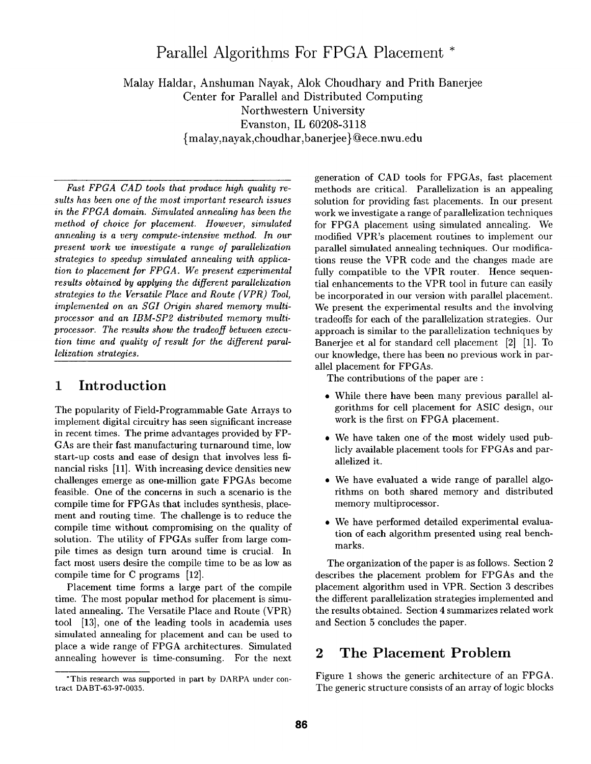# **Parallel Algorithms For FPGA Placement \***

Malay Haldar, Anshuman Nayak, Alok Choudhary and Prith Banerjee Center for Parallel and Distributed Computing Northwestern University Evanston, IL 60208-3118 {malay, nayak,choudhar,banerjee}@ece.nwu.edu

*Fast FPGA CAD tools that produce high quality re* $sults$  has been one of the most important research issues *in the FPGA domain. Simulated annealing has been the method of choice for placement. However, simulated annealing is a very compute-intensive method. In our present work we investigate a range of parallelization strategies to speedup simulated annealing with application to placement ]or FPGA. We present experimental results obtained by applying the different parallelization strategies to the Versatile Place and Route (VPR) Tool, implemented on an SGI Origin shared memory multiprocessor and an IBM-SP2 distributed memory multiprocessor. The results show the tradeoff between execution time and quality of result for the different parallelization strategies.* 

### **1 Introduction**

The popularity of Field-Programmable Gate Arrays to implement digital circuitry has seen significant increase in recent times. The prime advantages provided by FP-GAs are their fast manufacturing turnaround time, low start-up costs and ease of design that involves less financial risks [11]. With increasing device densities new challenges emerge as one-million gate FPGAs become feasible. One of the concerns in such a scenario is the compile time for FPGAs that includes synthesis, placement and routing time. The challenge is to reduce the compile time without compromising on the quality of solution. The utility of FPGAs suffer from large compile times as design turn around time is crucial. In fact most users desire the compile time to be as low as compile time for C programs [12].

Placement time forms a large part of the compile time. The most popular method for placement is simulated annealing. The Versatile Place and Route (VPR) tool [13], one of the leading tools in academia uses simulated annealing for placement and can be used to place a wide range of FPGA architectures. Simulated annealing however is time-consuming. For the next

generation of CAD tools for FPGAs, fast placement methods are critical. Parallelization is an appealing solution for providing fast placements. In our present work we investigate a range of parallelization techniques for FPGA placement using simulated annealing. We modified VPR's placement routines to implement our parallel simulated annealing techniques. Our modifications reuse the VPR code and the changes made are fully compatible to the VPR router. Hence sequential enhancements to the VPR tool in future can easily be incorporated in our version with parallel placement. We present the experimental results and the involving tradeoffs for each of the parallelization strategies. Our approach is similar to the parallelization techniques by Banerjee et al for standard cell placement [2] [1]. To our knowledge, there has been no previous work in parallel placement for FPGAs.

The contributions of the paper are :

- While there have been many previous parallel algorithms for cell placement for ASIC design, our work is the first on FPGA placement.
- We have taken one of the most widely used publicly available placement tools for FPGAs and parallelized it.
- . We have evaluated a wide range of parallel algorithms on both shared memory and distributed memory multiprocessor.
- We have performed detailed experimental evaluation of each algorithm presented using real benchmarks.

The organization of the paper is as follows. Section 2 describes the placement problem for FPGAs and the placement algorithm used in VPR. Section 3 describes the different parallelization strategies implemented and the results obtained. Section 4 summarizes related work and Section 5 concludes the paper.

### **2** The Placement Problem

Figure 1 shows the generic architecture of an FPGA. The generic structure consists of an array of logic blocks

<sup>\*</sup>This research was supported in part by DARPA under contract DABT-63-97-0035.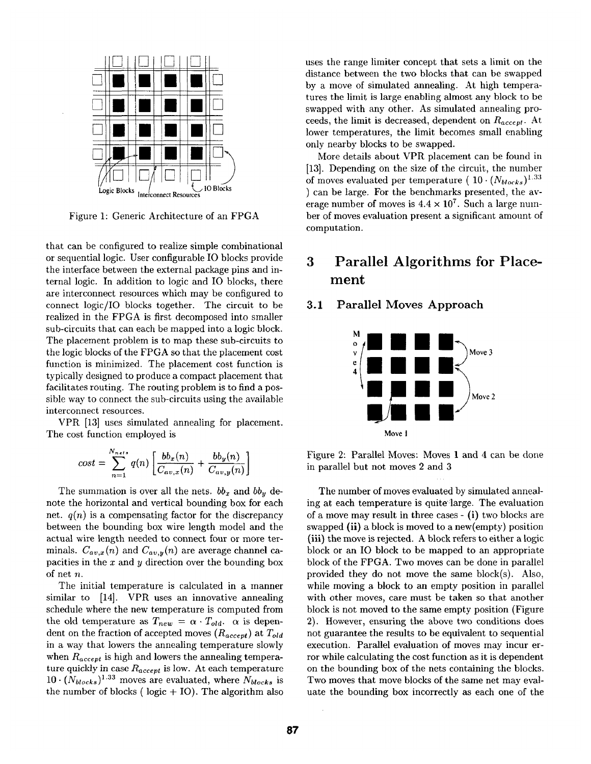

Figure 1: Generic Architecture of an FPGA

that can be configured to realize simple combinational or sequential logic. User configurable IO blocks provide the interface between the external package pins and internal logic. In addition to logic and IO blocks, there are interconnect resources which may be configured to connect logic/IO blocks together. The circuit to be realized in the FPGA is first decomposed into smaller sub-circuits that can each be mapped into a logic block. The placement problem is to map these sub-circuits to the logic blocks of the FPGA so that the placement cost function is minimized. The placement cost function is typically designed to produce a compact placement that facilitates routing. The routing problem is to find a possible way to connect the sub-circuits using the available interconnect resources.

VPR [13] uses simulated annealing for placement. The cost function employed is

$$
cost = \sum_{n=1}^{N_{net}} q(n) \left[ \frac{bb_x(n)}{C_{av,x}(n)} + \frac{bb_y(n)}{C_{av,y}(n)} \right]
$$

The summation is over all the nets.  $bb_x$  and  $bb_y$  denote the horizontal and vertical bounding box for each net.  $q(n)$  is a compensating factor for the discrepancy between the bounding box wire length model and the actual wire length needed to connect four or more terminals.  $C_{av,x}(n)$  and  $C_{av,y}(n)$  are average channel capacities in the  $x$  and  $y$  direction over the bounding box of net n.

The initial temperature is calculated in a manner similar to [14]. VPR uses an innovative annealing schedule where the new temperature is computed from the old temperature as  $T_{new} = \alpha \cdot T_{old}$ .  $\alpha$  is dependent on the fraction of accepted moves *(Raeeept)* at *Told*  in a way that lowers the annealing temperature slowly when  $R_{accept}$  is high and lowers the annealing temperature quickly in case  $R_{accept}$  is low. At each temperature  $10 \cdot (N_{blocks})^{1.33}$  moves are evaluated, where  $N_{blocks}$  is the number of blocks ( $logic + IO$ ). The algorithm also uses the range limiter concept that sets a limit on the distance between the two blocks that can be swapped by a move of simulated annealing. At high temperatures the limit is large enabling almost any block to be swapped with any other. As simulated annealing proceeds, the limit is decreased, dependent on *Raceept.* At lower temperatures, the limit becomes small enabling only nearby blocks to be swapped.

More details about VPR placement can be found in [13]. Depending on the size of the circuit, the number of moves evaluated per temperature (  $10 \cdot (N_{blocks})^{1.33}$ ) can be large. For the benchmarks presented, the average number of moves is  $4.4 \times 10^7$ . Such a large number of moves evaluation present a significant amount of computation.

## **3 Parallel Algorithms for Placement**

### **3.1 Parallel Moves Approach**



Figure 2: Parallel Moves: Moves 1 and 4 can be done in parallel but not moves 2 and 3

The number of moves evaluated by simulated annealing at each temperature is quite:large. The evaluation of a move may result in three cases - (i) two blocks are swapped (ii) a block is moved to a new(empty) position (iii) the move is rejected. A block refers to either a logic block or an IO block to be mapped to an appropriate block of the FPGA. Two moves can be done in parallel provided they do not move the same block(s). Also, while moving a block to an empty position in parallel with other moves, care must be taken so that another block is not moved to the same empty position (Figure 2). However, ensuring the above two conditions does not guarantee the results to be equivalent to sequential execution. Parallel evaluation of moves may incur error while calculating the cost function as it is dependent on the bounding box of the nets containing the blocks. Two moves that move blocks of the same net may evaluate the bounding box incorrectly as each one of the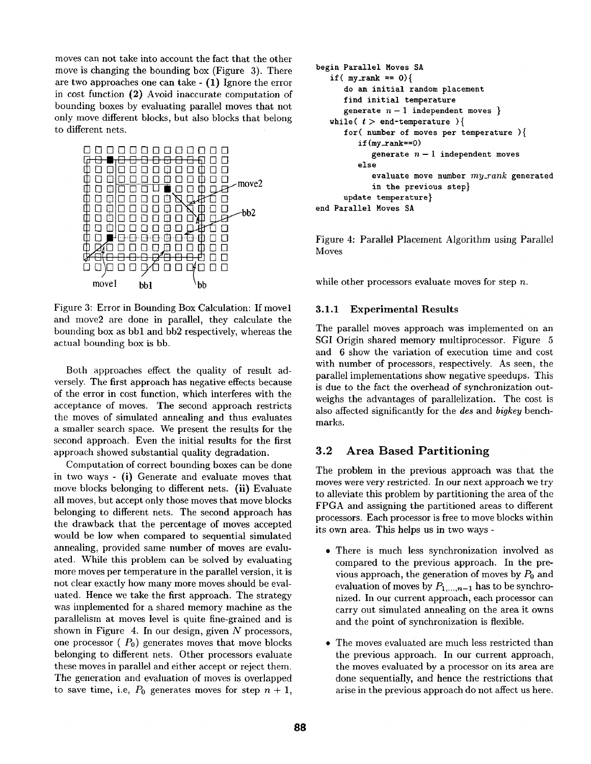moves can not take into account the fact that the other move is changing the bounding box (Figure 3). There are two approaches one can take - (1) Ignore the error in cost function (2) Avoid inaccurate computation of bounding boxes by evaluating parallel moves that not only move different blocks, but also blocks that belong to different nets.



Figure 3: Error in Bounding Box Calculation: If movel and move2 are done in parallel, they calculate the bounding box as bbl and bb2 respectively, whereas the actual bounding box is bb.

Both approaches effect the quality of result adversely. The first approach has negative effects because of the error in cost function, which interferes with the acceptance of moves. The second approach restricts the moves of simulated annealing and thus evaluates a smaller search space. We present the results for the second approach. Even the initial results for the first approach showed substantial quality degradation.

Computation of correct bounding boxes can be done in two ways - (i) Generate and evaluate moves that move blocks belonging to different nets. (ii) Evaluate all moves, but accept only those moves that move blocks belonging to different nets. The second approach has the drawback that the percentage of moves accepted would be low when compared to sequential simulated annealing, provided same number of moves are evaluated. While this problem can be solved by evaluating more moves per temperature in the parallel version, it is not clear exactly how many more moves should be evaluated. Hence we take the first approach. The strategy was implemented for a shared memory machine as the parallelism at moves level is quite fine-grained and is shown in Figure 4. In our design, given  $N$  processors, one processor ( $P_0$ ) generates moves that move blocks belonging to different nets. Other processors evaluate these moves in parallel and either accept or reject them. The generation and evaluation of moves is overlapped to save time, i.e,  $P_0$  generates moves for step  $n + 1$ ,

```
begin Parallel Moves SA 
   if (my\_rank == 0) {
      do an initial random placement 
      find initial temperature 
      generate n-1 independent moves \}while( t > end-temperature ){
      for( number of moves per temperature ){
         if(my\_rank==0)generate n-1 independent moves
         else 
            evaluate move number my_rank generated 
            in the previous step} 
      update temperature} 
end Parallel Moves SA
```
Figure 4: Parallel Placement Algorithm using Parallel Moves

while other processors evaluate moves for step  $n$ .

### **3.1.1 Experimental Results**

The parallel moves approach was implemented on an SGI Origin shared memory multiprocessor. Figure 5 and 6 show the variation of execution time and cost with number of processors, respectively. As seen, the parallel implementations show negative speedups. This is due to the fact the overhead of synchronization outweighs the advantages of parallelization. The cost is also affected significantly for the *des* and *bigkey* benchmarks.

### **3.2 Area Based Partitioning**

The problem in the previous approach was that the moves were very restricted. In our next approach we try to alleviate this problem by partitioning the area of the FPGA and assigning the partitioned areas to different processors. Each processor is free to move blocks within its own area. This helps us in two ways -

- There is much less synchronization involved as compared to the previous approach. In the previous approach, the generation of moves by  $P_0$  and evaluation of moves by  $P_{1,\dots,n-1}$  has to be synchronized. In our current approach, each processor can carry out simulated annealing on the area it owns and the point of synchronization is flexible.
- The moves evaluated are much less restricted than the previous approach. In our current approach, the moves evaluated by a processor on its area are done sequentially, and hence the restrictions that arise in the previous approach do not affect us here.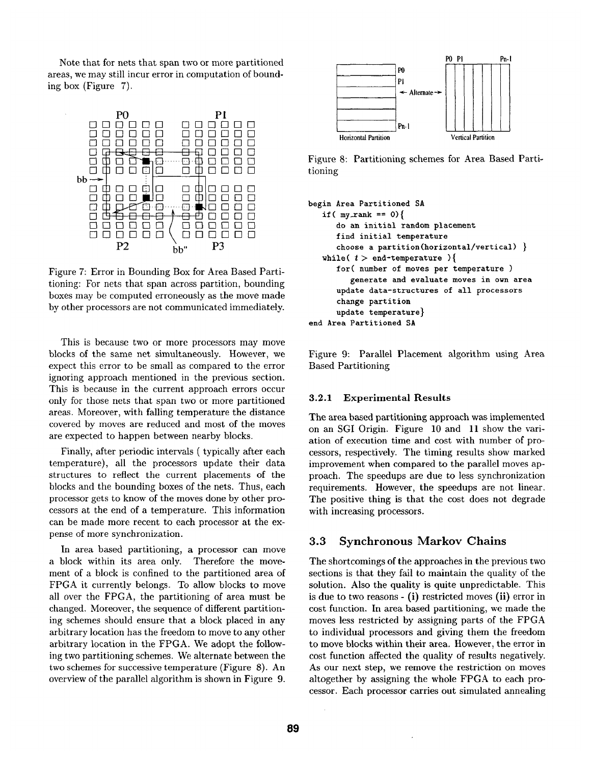Note that for nets that span two or more partitioned areas, we may still incur error in computation of bounding box (Figure 7).



Figure 7: Error in Bounding Box for Area Based Partitioning: For nets that span across partition, bounding boxes may be computed erroneously as the move made by other processors are not communicated immediately.

This is because two or more processors may move blocks of the same net simultaneously. However, we expect this error to be small as compared to the error ignoring approach mentioned in the previous section. This is because in the current approach errors occur only for those nets that span two or more partitioned areas. Moreover, with falling temperature the distance covered by moves are reduced and most of the moves are expected to happen between nearby blocks.

Finally, after periodic intervals ( typically after each temperature), all the processors update their data structures to reflect the current placements of the blocks and the bounding boxes of the nets. Thus, each processor gets to know of the moves done by other processors at the end of a temperature. This information can be made more recent to each processor at the expense of more synchronization.

In area based partitioning, a processor can move a block within its area only. Therefore the movement of a block is confined to the partitioned area of FPGA it currently belongs. To allow blocks to move all over the FPGA, the partitioning of area must be changed. Moreover, the sequence of different partitioning schemes should ensure that a block placed in any arbitrary location has the freedom to move to any other arbitrary location in the FPGA. We adopt the following two partitioning schemes. We alternate between the two schemes for successive temperature (Figure 8). An overview of the parallel algorithm is shown in Figure 9.



Figure 8: Partitioning schemes for Area Based Partitioning

```
begin Area Partitioned SA 
   if (mv\_rank == 0) {
      do an initial random placement 
      find initial temperature 
      choose a partition(horizontal/vertical) } 
   while( t > end-temperature ){
      for( number of moves per temperature ) 
         generate and evaluate moves in own area 
      update data-structures of all processors 
      change partition 
      update temperature} 
end Area Partitioned SA
```
Figure 9: Parallel Placement algorithm using Area Based Partitioning

#### 3.2.1 Experimental **Results**

The area based partitioning approach was implemented on an SGI Origin. Figure 10 and 11 show the variation of execution time and cost with number of processors, respectively. The timing results show marked improvement when compared to the parallel moves approach. The speedups are due to less synchronization requirements. However, the speedups are not linear. The positive thing is that the cost does not degrade with increasing processors.

#### **3.3 Synchronous Markov Chains**

The shortcomings of the approaches in the previous two sections is that they fail to maintain the quality of the solution. Also the quality is quite unpredictable. This is due to two reasons - (i) restricted moves (ii) error in cost function. In area based partitioning, we made the moves less restricted by assigning parts of the FPGA to individual processors and giving them the freedom to move blocks within their area. However, the error in cost function affected the quality of results negatively. As our next step, we remove the restriction on moves altogether by assigning the whole FPGA to each processor. Each processor carries out simulated annealing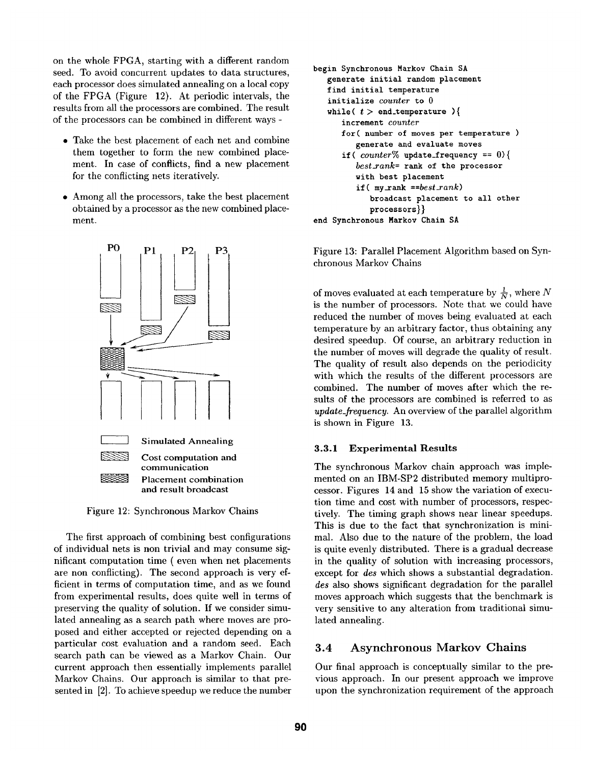on the whole FPGA, starting with a different random seed. To avoid concurrent updates to data structures, each processor does simulated annealing on a local copy of the FPGA (Figure 12). At periodic intervals, the results from all the processors are combined. The result of the processors can be combined in different ways -

- Take the best placement of each net and combine them together to form the new combined placement. In case of conflicts, find a new placement for the conflicting nets iteratively.
- \* Among all the processors, take the best placement obtained by a processor as the new combined placement.



Figure 12: Synchronous Markov Chains

The first approach of combining best configurations of individual nets is non trivial and may consume significant computation time ( even when net placements are non conflicting). The second approach is very efficient in terms of computation time, and as we found from experimental results, does quite well in terms of preserving the quality of solution. If we consider simulated annealing as a search path where moves are proposed and either accepted or rejected depending on a particular cost evaluation and a random seed. Each search path can be viewed as a Marker Chain. Our current approach then essentially implements parallel Markov Chains. Our approach is similar to that presented in [2]. To achieve speedup we reduce the number

```
begin Synchronous Marker Chain SA 
   generate initial random placement 
   find initial temperature 
   initialize counter to 0 
   while(t > end_temperature ){
      increment counter 
      for( number of moves per temperature ) 
         generate and evaluate moves 
      if( counter% update_frequency == 0){ 
         best~ank= rank of the processor 
         with best placement 
         if( my_.rank ==best_rank) 
            broadcast placement to all other 
            processors}} 
end Synchronous Markov Chain SA
```
Figure 13: Parallel Placement Algorithm based on Synchronous Markov Chains

of moves evaluated at each temperature by  $\frac{1}{N}$ , where N is the number of processors. Note that we could have reduced the number of moves being evaluated at each temperature by an arbitrary factor, thus obtaining any desired speedup. Of course, an arbitrary reduction in the number of moves will degrade the quality of result. The quality of result also depends on the periodicity with which the results of the different processors are combined. The number of moves after which the results of the processors are combined is referred to as *update\_frequency.* An overview of the parallel algorithm is shown in Figure 13.

#### **3.3.1 Experimental Results**

The synchronous Markov chain approach was implemented on an IBM-SP2 distributed memory multiprocessor. Figures 14 and 15 show the variation of execution time and cost with number of processors, respectively. The timing graph shows near linear speedups. This is due to the fact that synchronization is minimal. Also due to the nature of the problem, the load is quite evenly distributed. There is a gradual decrease in the quality of solution with increasing processors, except for *des* which shows a substantial degradation. *des* also shows significant degradation for the parallel moves approach which suggests that the benchmark is very sensitive to any alteration from traditional simulated annealing.

### **3.4 Asynchronous Marker Chains**

Our final approach is conceptually similar to the previous approach. In our present approach we improve upon the synchronization requirement of the approach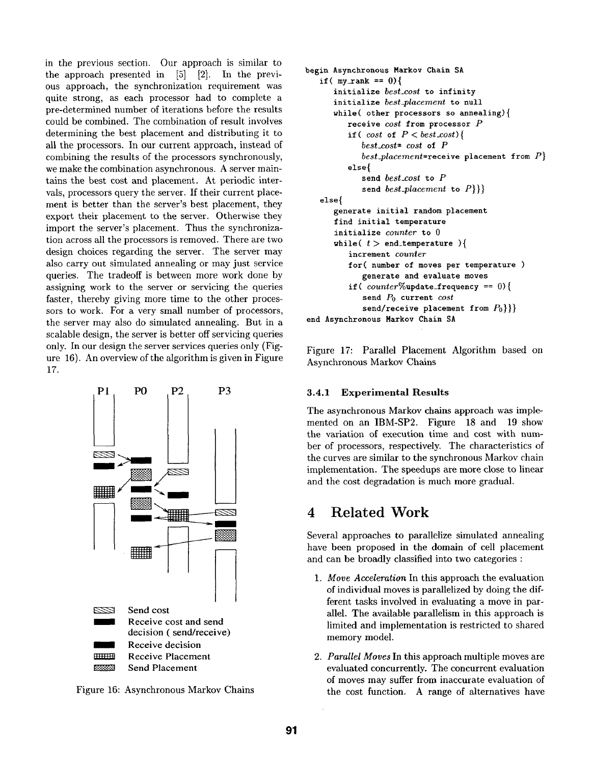in the previous section. Our approach is similar to the approach presented in [5] [2]. In the previous approach, the synchronization requirement was quite strong, as each processor had to complete a pre-determined number of iterations before the results could be combined. The combination of result involves determining the best placement and distributing it to all the processors. In our current approach, instead of combining the results of the processors synchronously, we make the combination asynchronous. A server maintains the best cost and placement. At periodic intervals, processors query the server. If their current placement is better than the server's best placement, they export their placement to the server. Otherwise they import the server's placement. Thus the synchronization across all the processors is removed. There are two design choices regarding the server. The server may also carry out simulated annealing or may just service queries. The tradeoff is between more work done by assigning work to the server or servicing the queries faster, thereby giving more time to the other processors to work. For a very small number of processors, the server may also do simulated annealing. But in a scalable design, the server is better off servicing queries only. In our design the server services queries only (Figure 16). An overview of the algorithm is given in Figure 17.



Figure 16: Asynchronous Markov Chains

```
begin Asynchronous Markov Chain SA 
   if( my\_rank == 0){
      initialize best_cost to infinity 
      initialize best_placement to null 
      while( other processors so annealing){ 
         receive cost from processor P 
         if(cost of P < best \text{const}){
             best_cost= cost of P 
             best_placement=receive placement from P} 
         else{ 
             send best_cost to P 
             send best_placement to P}}} 
   else{ 
      generate initial random placement 
      find initial temperature 
      initialize counter to 0 
      while( t > end_temperature ){
          increment counter 
          for( number of moves per temperature ) 
             generate and evaluate moves 
          if( counter%update_frequency == O){ 
             send P0 current cost 
             send/receive placement from P_0}}
end Asynchronous Markov Chain SA
```
Figure 17: Parallel Placement Algorithm based on Asynchronous Markov Chains

#### **3.4.1 Experimental Results**

The asynchronous Markov chains approach was implemented on an IBM-SP2. Figure 18 and 19 show the variation of execution time and cost with number of processors, respectively. The characteristics of the curves are similar to the synchronous Markov chain implementation. The speedups are more close to linear and the cost degradation is much more gradual.

### **4 Related Work**

Several approaches to parallelize simulated annealing have been proposed in the domain of cell placement and can be broadly classified into two categories :

- . *Move Acceleration* In this approach the evaluation of individual moves is parallelized by doing the different tasks involved in evaluating a move in parallel. The available parallelism in this approach is limited and implementation is restricted to shared memory model.
- . *Parallel Moves* In this approach multiple moves are evaluated concurrently. The concurrent evaluation of moves may suffer from inaccurate evaluation of the cost function. A range of alternatives have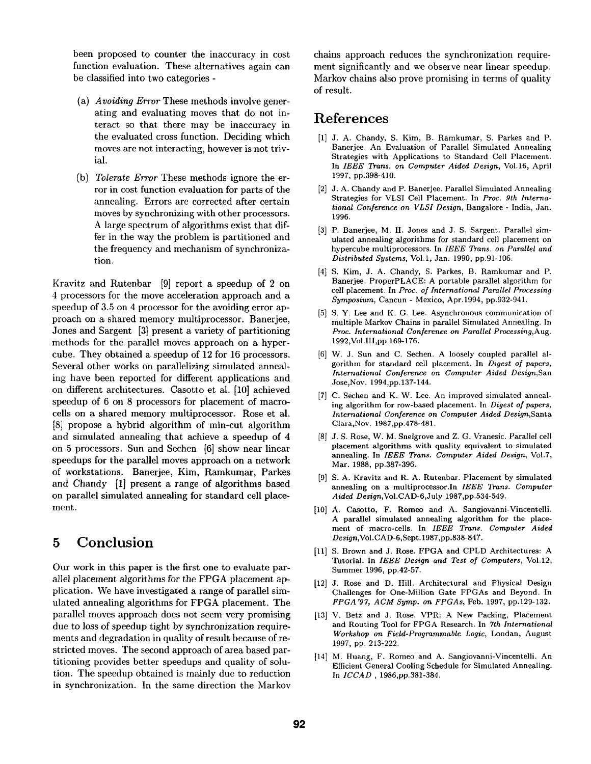been proposed to counter the inaccuracy in cost function evaluation. These alternatives again can be classified into two categories -

- **(a)**  *Avoiding Error* These methods involve generating and evaluating moves that do not interact so that there may be inaccuracy in the evaluated cross function. Deciding which moves are not interacting, however is not trivial.
- (b) *Tolerate Error* These methods ignore the error in cost function evaluation for parts of the annealing. Errors are corrected after certain moves by synchronizing with other processors. A large spectrum of algorithms exist that differ in the way the problem is partitioned and the frequency and mechanism of synchronization.

Kravitz and Rutenbar [9] report a speedup of 2 on 4 processors for the move acceleration approach and a speedup of 3.5 on 4 processor for the avoiding error approach on a shared memory multiprocessor. Banerjee, Jones and Sargent [3] present a variety of partitioning methods for the parallel moves approach on a hypercube. They obtained a speedup of 12 for 16 processors. Several other works on parallelizing simulated annealing have been reported for different applications and on different architectures. Casotto et al. [10] achieved speedup of 6 on 8 processors for placement of macrocells on a shared memory multiprocessor. Rose et al. [8] propose a hybrid algorithm of min-cut algorithm and simulated annealing that achieve a speedup of 4 on 5 processors. Sun and Sechen [6] show near linear speedups for the parallel moves approach on a network of workstations. Banerjee, Kim, Ramkumar, Parkes and Chandy [1] present a range of algorithms based on parallel simulated annealing for standard cell placement.

## **5 Conclusion**

Our work in this paper is the first one to evaluate parallel placement algorithms for the FPGA placement application. We have investigated a range of parallel simulated annealing algorithms for FPGA placement. The parallel moves approach does not seem very promising due to loss of speedup tight by synchronization requirements and degradation in quality of result because of restricted moves. The second approach of area based partitioning provides better speedups and quality of solution. The speedup obtained is mainly due to reduction in synchronization. In the same direction the Marker

chains approach reduces the synchronization requirement significantly and we observe near linear speedup. Markov chains also prove promising in terms of quality of result.

## **References**

- [1] J. A. Chandy, S. Kim, B. Ramkumar, S. Parkes and P. Banerjee. An Evaluation of Parallel Simulated Annealing Strategies with Applications to Standard Cell Placement. In *IEEE Trans. on Computer Aided Design,* Vo1.16, April 1997, pp.398-410.
- [2] J. A. Chandy and P. Banerjee. Parallel Simulated Annealing Strategies for VLSI Cell Placement. In *Prec. 9th International Conference on VLSI Design,* Bangalore - India, Jan. 1996.
- [3] P. Banerjee, M. H. Jones and J. S. Sargent. Parallel simulated annealing algorithms for standard cell placement on hypercube multiprocessors. In *IEEE Trans. on Parallel and Distributed Systems,* Vol.1, Jan. 1990, pp.91-106.
- [4] S. Kim, J. A. Chandy, S. Parkes, B. Ramkumar and P. Banerjee. ProperPLACE: A portable parallel algorithm for cell placement. In *Prec. of International Parallel Processing Symposium,* Cancun - Mexico, Apr.1994, pp.932-941.
- [5] S. Y. Lee and K. G. Lee. Asynchronous communication of multiple Markov Chains in parallel Simulated Annealing. In *Proc. International Conference on Parallel Processing,Aug.*  1992,Vol.III,pp. 169-176.
- [6] W. J. Sun and C. Sechen. A loosely coupled parallel algorithm for standard cell placement. In *Digest of papers, International Conference on Computer Aided Design,San*  Jose, Nov. 1994, pp.137-144.
- [7] C. Sechen and K. W. Lee. An improved simulated annealing algorithm for row-based placement. In *Digest of papers, International Conference on Computer Aided Design,Santa*  Clara, Nov. 1987, pp. 478-481.
- [8] J. S. Rose, W. M. Snelgrove and Z. G. Vranesic. Parallel cell placement algorithms with quality equivalent to simulated annealing. In *IEEE Trans. Computer Aided Design,* Vol.7, Mar. 1988, pp.387-396.
- [9] S. A. Kravitz and R. A. Rutenbar. Placement by simulated annealing on a multiprocessor.ln *IEEE Trans. Computer Aided Design,Vol.CAD-6,July* 1987,pp.534-549.
- [10] A. Casotto, F. Romeo and A. Sangiovanni-Vincentelli. A parallel simulated annealing algorithm for the placement of macro-cells. In *IEEE Trans. Computer Aided Design,Vol.CAD-6,Sept.* 1987,pp.838-847.
- [11] S. Brown and J. Rose. FPGA and CPLD Architectures: A Tutorial. In *IEEE Design and Test of Computers,* Vol.12, Summer 1996, pp.42-57.
- [12] J. Rose and D. Hill. Architectural and Physical Design Challenges for One-Million Gate FPGAs and Beyond. In *FPGA'97, ACM Syrup. on FPGAs,* Feb. 1997, pp.129-132.
- [13] V. Betz and J. Rose. VPR: A New Packing, Placement and Routing Tool for FPGA Research. In *7th International Workshop on Field-Programmable Logic,* Londan, August 1997, pp. 213-222.
- (14] M. Huang, F. Romeo and A. Sangiovanni-Vincenteili. An Efficient General Cooling Schedule for Simulated Annealing. In *ICCAD ,* 1986,pp.381-384.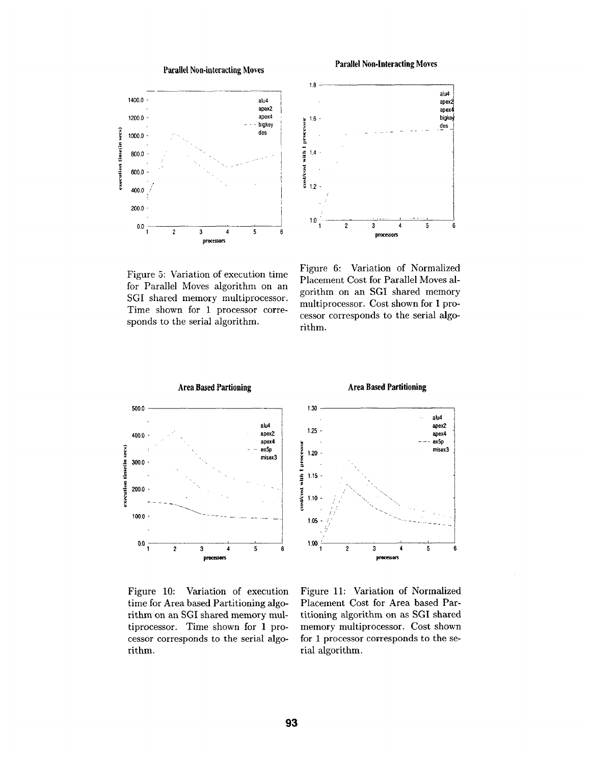

Figure 5: Variation of execution time for Parallel Moves algorithm on an SGI shared memory multiprocessor. Time shown for 1 processor corresponds to the serial algorithm.

Figure 6: Variation of Normalized Placement Cost for Parallel Moves algorithm on an SGI shared memory multiprocessor. Cost shown for 1 processor corresponds to the serial algorithm.

apex4

6



Figure 10: Variation of execution time for Area based Partitioning algorithm on an SGI shared memory multiprocessor. Time shown for 1 processor corresponds to the serial algorithm.

Figure 11: Variation of Normalized Placement Cost for Area based Partitioning algorithm on as SGI shared memory multiprocessor. Cost shown for 1 processor corresponds to the serial algorithm.